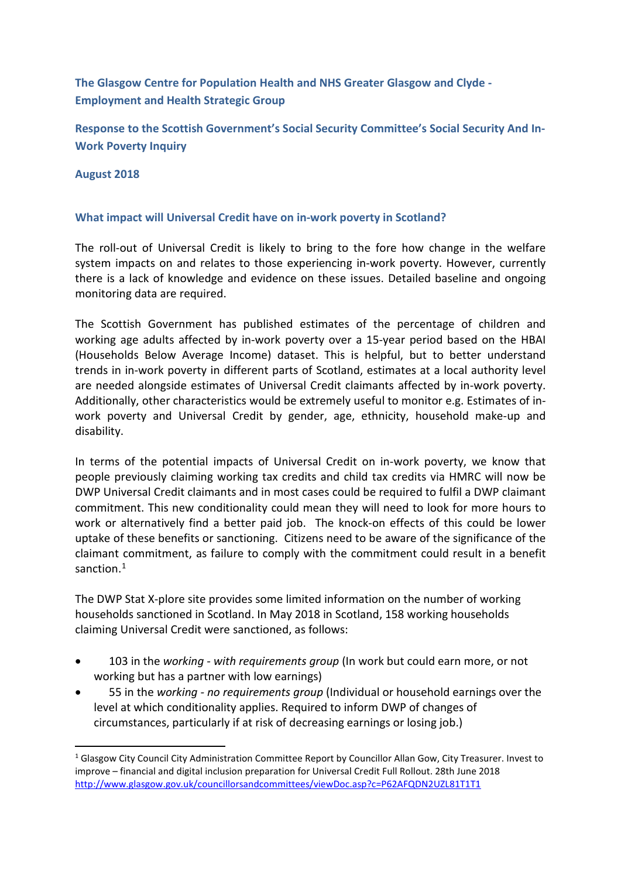# **The Glasgow Centre for Population Health and NHS Greater Glasgow and Clyde - Employment and Health Strategic Group**

**Response to the Scottish Government's Social Security Committee's Social Security And In-Work Poverty Inquiry**

**August 2018**

#### **What impact will Universal Credit have on in-work poverty in Scotland?**

The roll-out of Universal Credit is likely to bring to the fore how change in the welfare system impacts on and relates to those experiencing in-work poverty. However, currently there is a lack of knowledge and evidence on these issues. Detailed baseline and ongoing monitoring data are required.

The Scottish Government has published estimates of the percentage of children and working age adults affected by in-work poverty over a 15-year period based on the HBAI (Households Below Average Income) dataset. This is helpful, but to better understand trends in in-work poverty in different parts of Scotland, estimates at a local authority level are needed alongside estimates of Universal Credit claimants affected by in-work poverty. Additionally, other characteristics would be extremely useful to monitor e.g. Estimates of inwork poverty and Universal Credit by gender, age, ethnicity, household make-up and disability.

In terms of the potential impacts of Universal Credit on in-work poverty, we know that people previously claiming working tax credits and child tax credits via HMRC will now be DWP Universal Credit claimants and in most cases could be required to fulfil a DWP claimant commitment. This new conditionality could mean they will need to look for more hours to work or alternatively find a better paid job. The knock-on effects of this could be lower uptake of these benefits or sanctioning. Citizens need to be aware of the significance of the claimant commitment, as failure to comply with the commitment could result in a benefit sanction.<sup>[1](#page-0-0)</sup>

<span id="page-0-1"></span>The DWP Stat X-plore site provides some limited information on the number of working households sanctioned in Scotland. In May 2018 in Scotland, 158 working households claiming Universal Credit were sanctioned, as follows:

- 103 in the *working - with requirements group* (In work but could earn more, or not working but has a partner with low earnings)
- 55 in the *working - no requirements group* (Individual or household earnings over the level at which conditionality applies. Required to inform DWP of changes of circumstances, particularly if at risk of decreasing earnings or losing job.)

<span id="page-0-0"></span><sup>&</sup>lt;sup>1</sup> Glasgow City Council City Administration Committee Report by Councillor Allan Gow, City Treasurer. Invest to improve – financial and digital inclusion preparation for Universal Credit Full Rollout. 28th June 2018 <http://www.glasgow.gov.uk/councillorsandcommittees/viewDoc.asp?c=P62AFQDN2UZL81T1T1>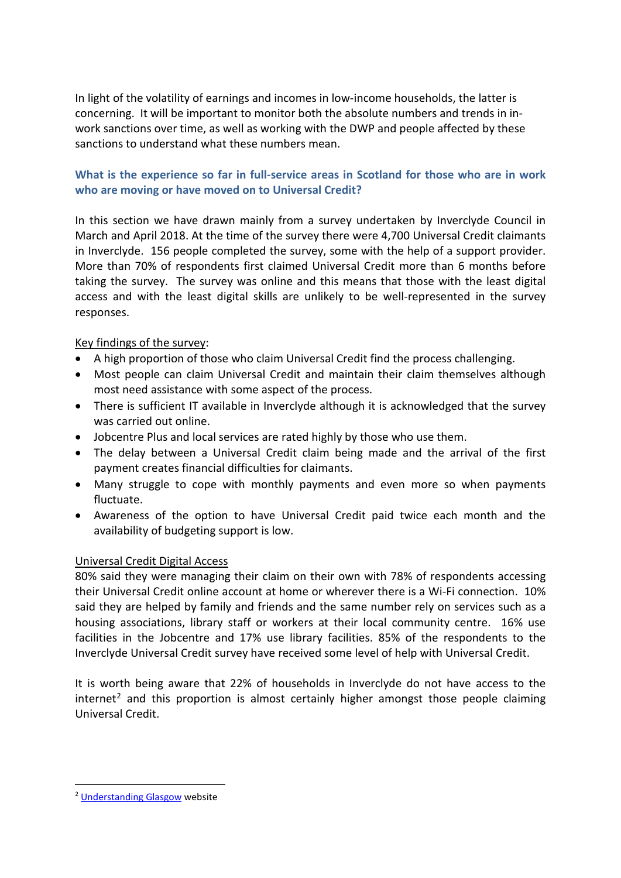In light of the volatility of earnings and incomes in low-income households, the latter is concerning. It will be important to monitor both the absolute numbers and trends in inwork sanctions over time, as well as working with the DWP and people affected by these sanctions to understand what these numbers mean.

# **What is the experience so far in full-service areas in Scotland for those who are in work who are moving or have moved on to Universal Credit?**

In this section we have drawn mainly from a survey undertaken by Inverclyde Council in March and April 2018. At the time of the survey there were 4,700 Universal Credit claimants in Inverclyde. 156 people completed the survey, some with the help of a support provider. More than 70% of respondents first claimed Universal Credit more than 6 months before taking the survey. The survey was online and this means that those with the least digital access and with the least digital skills are unlikely to be well-represented in the survey responses.

# Key findings of the survey:

- A high proportion of those who claim Universal Credit find the process challenging.
- Most people can claim Universal Credit and maintain their claim themselves although most need assistance with some aspect of the process.
- There is sufficient IT available in Inverclyde although it is acknowledged that the survey was carried out online.
- Jobcentre Plus and local services are rated highly by those who use them.
- The delay between a Universal Credit claim being made and the arrival of the first payment creates financial difficulties for claimants.
- Many struggle to cope with monthly payments and even more so when payments fluctuate.
- Awareness of the option to have Universal Credit paid twice each month and the availability of budgeting support is low.

# Universal Credit Digital Access

80% said they were managing their claim on their own with 78% of respondents accessing their Universal Credit online account at home or wherever there is a Wi-Fi connection. 10% said they are helped by family and friends and the same number rely on services such as a housing associations, library staff or workers at their local community centre. 16% use facilities in the Jobcentre and 17% use library facilities. 85% of the respondents to the Inverclyde Universal Credit survey have received some level of help with Universal Credit.

It is worth being aware that 22% of households in Inverclyde do not have access to the internet<sup>[2](#page-1-0)</sup> and this proportion is almost certainly higher amongst those people claiming Universal Credit.

<span id="page-1-0"></span> <sup>2</sup> [Understanding Glasgow](http://www.understandingglasgow.com/indicators/social_capital/social_networks_and_support/household_access_to_the_internet/glasgow_and_c) website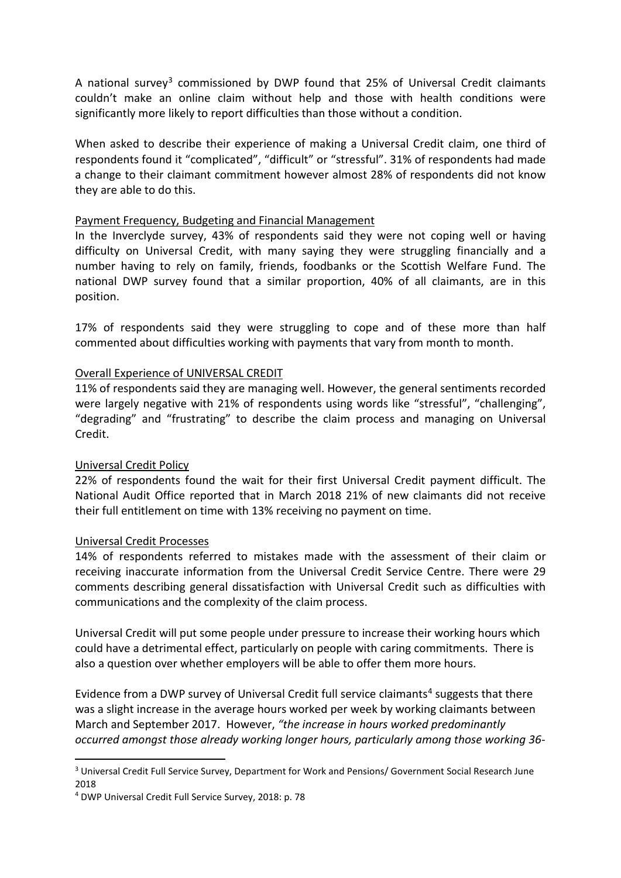A national survey<sup>3</sup> commissioned by DWP found that 25% of Universal Credit claimants couldn't make an online claim without help and those with health conditions were significantly more likely to report difficulties than those without a condition.

When asked to describe their experience of making a Universal Credit claim, one third of respondents found it "complicated", "difficult" or "stressful". 31% of respondents had made a change to their claimant commitment however almost 28% of respondents did not know they are able to do this.

#### Payment Frequency, Budgeting and Financial Management

In the Inverclyde survey, 43% of respondents said they were not coping well or having difficulty on Universal Credit, with many saying they were struggling financially and a number having to rely on family, friends, foodbanks or the Scottish Welfare Fund. The national DWP survey found that a similar proportion, 40% of all claimants, are in this position.

17% of respondents said they were struggling to cope and of these more than half commented about difficulties working with payments that vary from month to month.

### Overall Experience of UNIVERSAL CREDIT

11% of respondents said they are managing well. However, the general sentiments recorded were largely negative with 21% of respondents using words like "stressful", "challenging", "degrading" and "frustrating" to describe the claim process and managing on Universal Credit.

#### Universal Credit Policy

22% of respondents found the wait for their first Universal Credit payment difficult. The National Audit Office reported that in March 2018 21% of new claimants did not receive their full entitlement on time with 13% receiving no payment on time.

#### Universal Credit Processes

14% of respondents referred to mistakes made with the assessment of their claim or receiving inaccurate information from the Universal Credit Service Centre. There were 29 comments describing general dissatisfaction with Universal Credit such as difficulties with communications and the complexity of the claim process.

Universal Credit will put some people under pressure to increase their working hours which could have a detrimental effect, particularly on people with caring commitments. There is also a question over whether employers will be able to offer them more hours.

Evidence from a DWP survey of Universal Credit full service claimants<sup>[4](#page-2-1)</sup> suggests that there was a slight increase in the average hours worked per week by working claimants between March and September 2017. However, *"the increase in hours worked predominantly occurred amongst those already working longer hours, particularly among those working 36-*

<span id="page-2-0"></span><sup>&</sup>lt;sup>3</sup> Universal Credit Full Service Survey, Department for Work and Pensions/ Government Social Research June 2018

<span id="page-2-1"></span><sup>4</sup> DWP Universal Credit Full Service Survey, 2018: p. 78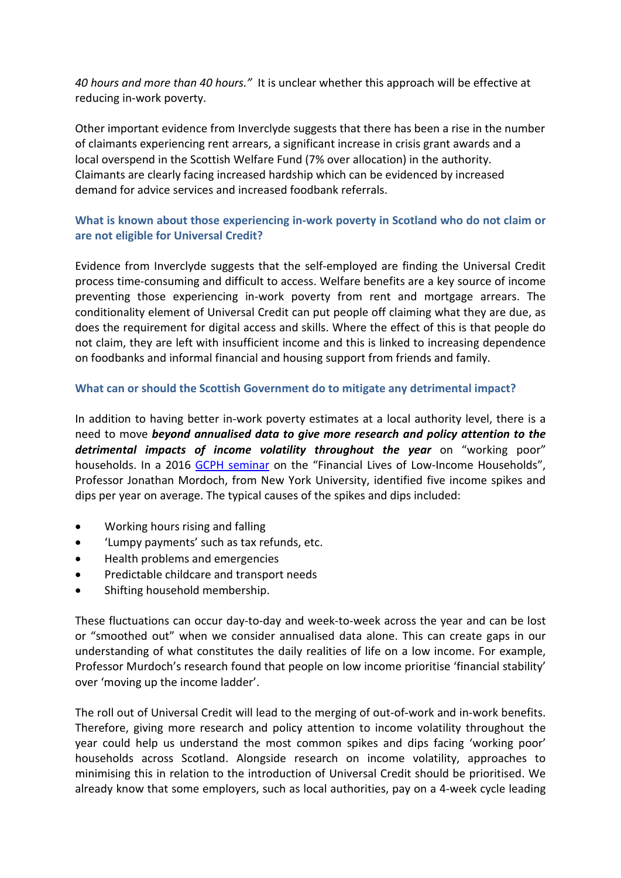*40 hours and more than 40 hours."* It is unclear whether this approach will be effective at reducing in-work poverty.

Other important evidence from Inverclyde suggests that there has been a rise in the number of claimants experiencing rent arrears, a significant increase in crisis grant awards and a local overspend in the Scottish Welfare Fund (7% over allocation) in the authority. Claimants are clearly facing increased hardship which can be evidenced by increased demand for advice services and increased foodbank referrals.

# **What is known about those experiencing in-work poverty in Scotland who do not claim or are not eligible for Universal Credit?**

Evidence from Inverclyde suggests that the self-employed are finding the Universal Credit process time-consuming and difficult to access. Welfare benefits are a key source of income preventing those experiencing in-work poverty from rent and mortgage arrears. The conditionality element of Universal Credit can put people off claiming what they are due, as does the requirement for digital access and skills. Where the effect of this is that people do not claim, they are left with insufficient income and this is linked to increasing dependence on foodbanks and informal financial and housing support from friends and family.

### **What can or should the Scottish Government do to mitigate any detrimental impact?**

In addition to having better in-work poverty estimates at a local authority level, there is a need to move *beyond annualised data to give more research and policy attention to the detrimental impacts of income volatility throughout the year* on "working poor" households. In a 2016 [GCPH seminar](http://www.gcph.co.uk/assets/0000/5629/J_Morduch_slides_300616.pdf) on the "Financial Lives of Low-Income Households", Professor Jonathan Mordoch, from New York University, identified five income spikes and dips per year on average. The typical causes of the spikes and dips included:

- Working hours rising and falling
- 'Lumpy payments' such as tax refunds, etc.
- Health problems and emergencies
- Predictable childcare and transport needs
- Shifting household membership.

These fluctuations can occur day-to-day and week-to-week across the year and can be lost or "smoothed out" when we consider annualised data alone. This can create gaps in our understanding of what constitutes the daily realities of life on a low income. For example, Professor Murdoch's research found that people on low income prioritise 'financial stability' over 'moving up the income ladder'.

The roll out of Universal Credit will lead to the merging of out-of-work and in-work benefits. Therefore, giving more research and policy attention to income volatility throughout the year could help us understand the most common spikes and dips facing 'working poor' households across Scotland. Alongside research on income volatility, approaches to minimising this in relation to the introduction of Universal Credit should be prioritised. We already know that some employers, such as local authorities, pay on a 4-week cycle leading